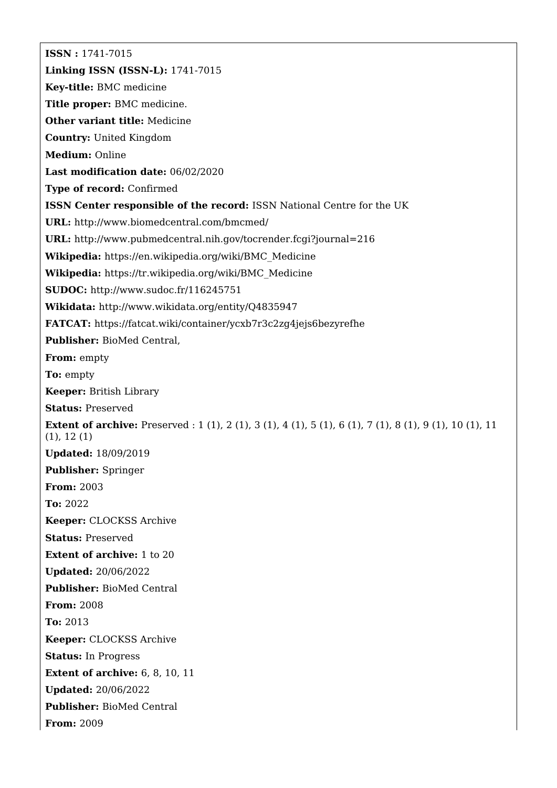**ISSN :** 1741-7015 **Linking ISSN (ISSN-L):** 1741-7015 **Key-title:** BMC medicine **Title proper:** BMC medicine. **Other variant title:** Medicine **Country:** United Kingdom **Medium:** Online **Last modification date:** 06/02/2020 **Type of record:** Confirmed **ISSN Center responsible of the record:** ISSN National Centre for the UK **URL:** <http://www.biomedcentral.com/bmcmed/> **URL:** <http://www.pubmedcentral.nih.gov/tocrender.fcgi?journal=216> **Wikipedia:** [https://en.wikipedia.org/wiki/BMC\\_Medicine](https://en.wikipedia.org/wiki/BMC_Medicine) **Wikipedia:** [https://tr.wikipedia.org/wiki/BMC\\_Medicine](https://tr.wikipedia.org/wiki/BMC_Medicine) **SUDOC:** <http://www.sudoc.fr/116245751> **Wikidata:** <http://www.wikidata.org/entity/Q4835947> **FATCAT:** <https://fatcat.wiki/container/ycxb7r3c2zg4jejs6bezyrefhe> **Publisher:** BioMed Central, **From:** empty **To:** empty **Keeper:** British Library **Status:** Preserved **Extent of archive:** Preserved : 1 (1), 2 (1), 3 (1), 4 (1), 5 (1), 6 (1), 7 (1), 8 (1), 9 (1), 10 (1), 11 (1), 12 (1) **Updated:** 18/09/2019 **Publisher:** Springer **From:** 2003 **To:** 2022 **Keeper:** CLOCKSS Archive **Status:** Preserved **Extent of archive:** 1 to 20 **Updated:** 20/06/2022 **Publisher:** BioMed Central **From:** 2008 **To:** 2013 **Keeper:** CLOCKSS Archive **Status:** In Progress **Extent of archive:** 6, 8, 10, 11 **Updated:** 20/06/2022 **Publisher:** BioMed Central **From:** 2009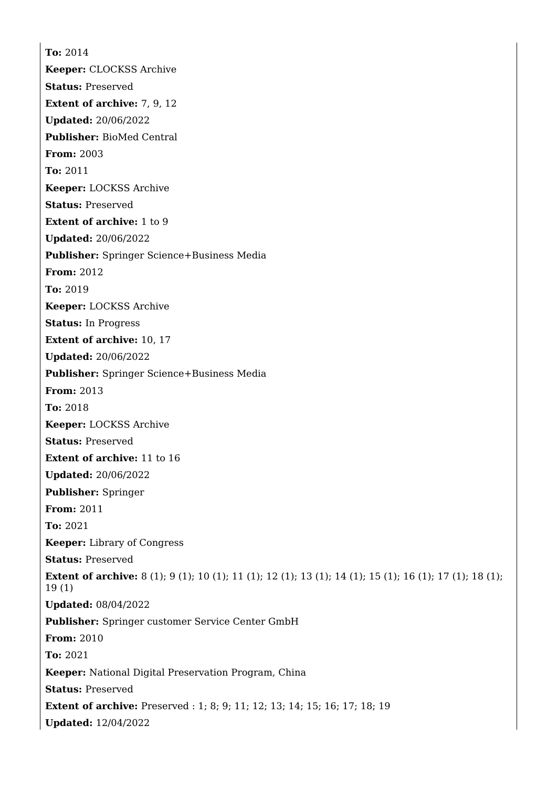**To:** 2014 **Keeper:** CLOCKSS Archive **Status:** Preserved **Extent of archive:** 7, 9, 12 **Updated:** 20/06/2022 **Publisher:** BioMed Central **From:** 2003 **To:** 2011 **Keeper:** LOCKSS Archive **Status:** Preserved **Extent of archive:** 1 to 9 **Updated:** 20/06/2022 **Publisher:** Springer Science+Business Media **From:** 2012 **To:** 2019 **Keeper:** LOCKSS Archive **Status:** In Progress **Extent of archive:** 10, 17 **Updated:** 20/06/2022 **Publisher:** Springer Science+Business Media **From:** 2013 **To:** 2018 **Keeper:** LOCKSS Archive **Status:** Preserved **Extent of archive:** 11 to 16 **Updated:** 20/06/2022 **Publisher:** Springer **From:** 2011 **To:** 2021 **Keeper:** Library of Congress **Status:** Preserved **Extent of archive:** 8 (1); 9 (1); 10 (1); 11 (1); 12 (1); 13 (1); 14 (1); 15 (1); 16 (1); 17 (1); 18 (1); 19 (1) **Updated:** 08/04/2022 **Publisher:** Springer customer Service Center GmbH **From:** 2010 **To:** 2021 **Keeper:** National Digital Preservation Program, China **Status:** Preserved **Extent of archive:** Preserved : 1; 8; 9; 11; 12; 13; 14; 15; 16; 17; 18; 19 **Updated:** 12/04/2022